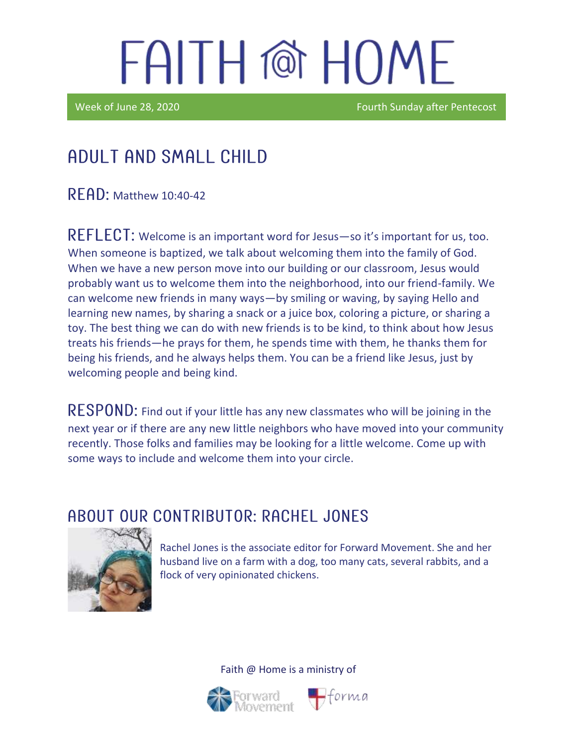Week of June 28, 2020 **Fourth Sunday after Pentecost** 

## Adult and Small Child

**RFAD:** Matthew 10:40-42

REFLECT: Welcome is an important word for Jesus-so it's important for us, too. When someone is baptized, we talk about welcoming them into the family of God. When we have a new person move into our building or our classroom, Jesus would probably want us to welcome them into the neighborhood, into our friend-family. We can welcome new friends in many ways—by smiling or waving, by saying Hello and learning new names, by sharing a snack or a juice box, coloring a picture, or sharing a toy. The best thing we can do with new friends is to be kind, to think about how Jesus treats his friends—he prays for them, he spends time with them, he thanks them for being his friends, and he always helps them. You can be a friend like Jesus, just by welcoming people and being kind.

RESPOND: Find out if your little has any new classmates who will be joining in the next year or if there are any new little neighbors who have moved into your community recently. Those folks and families may be looking for a little welcome. Come up with some ways to include and welcome them into your circle.

#### A BOUT OUR CONTRIBUTOR: RACHEL JONES



Rachel Jones is the associate editor for Forward Movement. She and her husband live on a farm with a dog, too many cats, several rabbits, and a flock of very opinionated chickens.



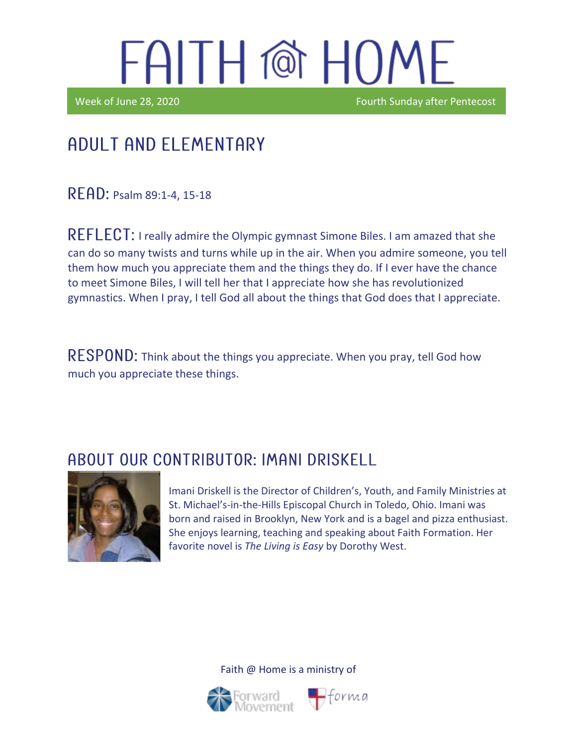Ϊ

Week of June 28, 2020 **Fourth Sunday after Pentecost** 

### Adult and elementary

READ: Psalm 89:1-4, 15-18

REFLECT: I really admire the Olympic gymnast Simone Biles. I am amazed that she can do so many twists and turns while up in the air. When you admire someone, you tell them how much you appreciate them and the things they do. If I ever have the chance to meet Simone Biles, I will tell her that I appreciate how she has revolutionized gymnastics. When I pray, I tell God all about the things that God does that I appreciate.

RESPOND: Think about the things you appreciate. When you pray, tell God how much you appreciate these things.

#### ABOUT OUR CONTRIBUTOR: IMANI DRISKELL



Imani Driskell is the Director of Children's, Youth, and Family Ministries at St. Michael's-in-the-Hills Episcopal Church in Toledo, Ohio. Imani was born and raised in Brooklyn, New York and is a bagel and pizza enthusiast. She enjoys learning, teaching and speaking about Faith Formation. Her favorite novel is *The Living is Easy* by Dorothy West.

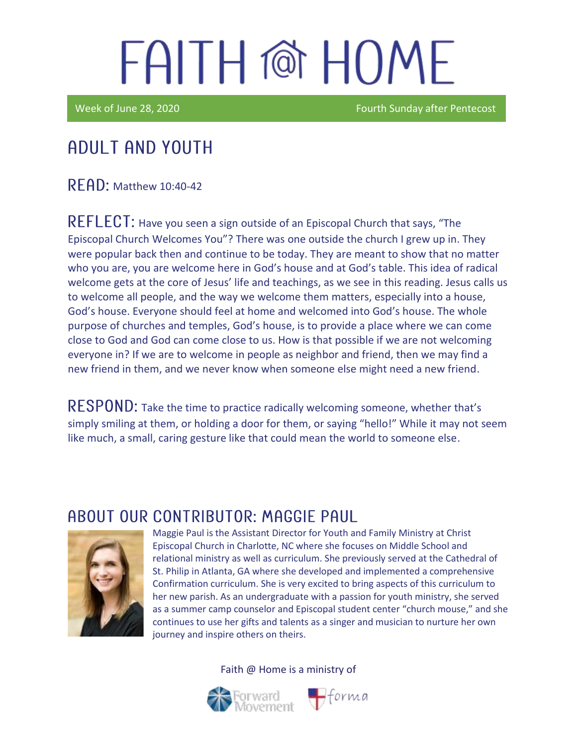Week of June 28, 2020 **Fourth Sunday after Pentecost** 

### Adult and youth

**READ:** Matthew 10:40-42

REFLECT: Have you seen a sign outside of an Episcopal Church that says, "The Episcopal Church Welcomes You"? There was one outside the church I grew up in. They were popular back then and continue to be today. They are meant to show that no matter who you are, you are welcome here in God's house and at God's table. This idea of radical welcome gets at the core of Jesus' life and teachings, as we see in this reading. Jesus calls us to welcome all people, and the way we welcome them matters, especially into a house, God's house. Everyone should feel at home and welcomed into God's house. The whole purpose of churches and temples, God's house, is to provide a place where we can come close to God and God can come close to us. How is that possible if we are not welcoming everyone in? If we are to welcome in people as neighbor and friend, then we may find a new friend in them, and we never know when someone else might need a new friend.

RESPOND: Take the time to practice radically welcoming someone, whether that's simply smiling at them, or holding a door for them, or saying "hello!" While it may not seem like much, a small, caring gesture like that could mean the world to someone else.

#### ABOUT OUR CONTRIBUTOR: MAGGIE PAUL



Maggie Paul is the Assistant Director for Youth and Family Ministry at Christ Episcopal Church in Charlotte, NC where she focuses on Middle School and relational ministry as well as curriculum. She previously served at the Cathedral of St. Philip in Atlanta, GA where she developed and implemented a comprehensive Confirmation curriculum. She is very excited to bring aspects of this curriculum to her new parish. As an undergraduate with a passion for youth ministry, she served as a summer camp counselor and Episcopal student center "church mouse," and she continues to use her gifts and talents as a singer and musician to nurture her own journey and inspire others on theirs.